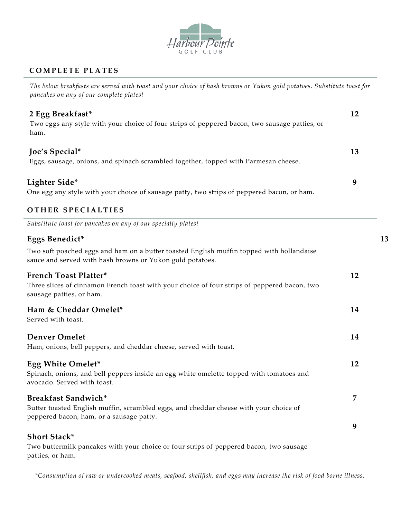

## **C O M P L E T E P L A T E S**

*The below breakfasts are served with toast and your choice of hash browns or Yukon gold potatoes. Substitute toast for pancakes on any of our complete plates!*

| 2 Egg Breakfast*<br>Two eggs any style with your choice of four strips of peppered bacon, two sausage patties, or<br>ham. | 12 |
|---------------------------------------------------------------------------------------------------------------------------|----|
| Joe's Special*<br>Eggs, sausage, onions, and spinach scrambled together, topped with Parmesan cheese.                     | 13 |
| Lighter Side*<br>One egg any style with your choice of sausage patty, two strips of peppered bacon, or ham.               | Q  |

## **OTHER SPECIALTIES**

*Substitute toast for pancakes on any of our specialty plates!*

| Eggs Benedict*                                                                                                                                                                                                                                                                               |    | 13 |
|----------------------------------------------------------------------------------------------------------------------------------------------------------------------------------------------------------------------------------------------------------------------------------------------|----|----|
| Two soft poached eggs and ham on a butter toasted English muffin topped with hollandaise<br>sauce and served with hash browns or Yukon gold potatoes.                                                                                                                                        |    |    |
| <b>French Toast Platter*</b><br>Three slices of cinnamon French toast with your choice of four strips of peppered bacon, two<br>sausage patties, or ham.                                                                                                                                     | 12 |    |
| Ham & Cheddar Omelet*<br>Served with toast.                                                                                                                                                                                                                                                  | 14 |    |
| <b>Denver Omelet</b><br>Ham, onions, bell peppers, and cheddar cheese, served with toast.                                                                                                                                                                                                    | 14 |    |
| Egg White Omelet*<br>Spinach, onions, and bell peppers inside an egg white omelette topped with tomatoes and<br>avocado. Served with toast.                                                                                                                                                  | 12 |    |
| Breakfast Sandwich*<br>Butter toasted English muffin, scrambled eggs, and cheddar cheese with your choice of<br>peppered bacon, ham, or a sausage patty.                                                                                                                                     | 7  |    |
| <b>Short Stack*</b><br>$\blacksquare$ . The contract of the contract of the contract of the contract of the contract of the contract of the contract of the contract of the contract of the contract of the contract of the contract of the contract of the<br>$\mathbf{1}$ and $\mathbf{1}$ | 9  |    |

Two buttermilk pancakes with your choice or four strips of peppered bacon, two sausage patties, or ham.

*\*Consumption of raw or undercooked meats, seafood, shellfish, and eggs may increase the risk of food borne illness.*